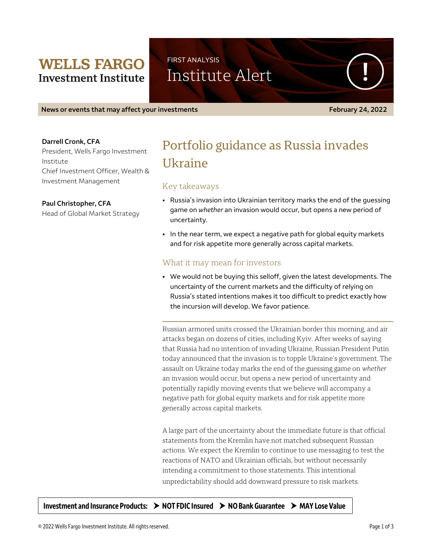## **WELLS FARGO Investment Institute**

FIRST ANALYSIS Institute Alert

**News or events that may affect your investments February 24, 2022** 

#### **Darrell Cronk, CFA**

President, Wells Fargo Investment Institute Chief Investment Officer, Wealth & Investment Management

**Paul Christopher, CFA** Head of Global Market Strategy

# Portfolio guidance as Russia invades Ukraine

## Key takeaways

- Russia's invasion into Ukrainian territory marks the end of the guessing game on *whether* an invasion would occur, but opens a new period of uncertainty.
- In the near term, we expect a negative path for global equity markets and for risk appetite more generally across capital markets.

### What it may mean for investors

• We would not be buying this selloff, given the latest developments. The uncertainty of the current markets and the difficulty of relying on Russia's stated intentions makes it too difficult to predict exactly how the incursion will develop. We favor patience.

Russian armored units crossed the Ukrainian border this morning, and air attacks began on dozens of cities, including Kyiv. After weeks of saying that Russia had no intention of invading Ukraine, Russian President Putin today announced that the invasion is to topple Ukraine's government. The assault on Ukraine today marks the end of the guessing game on *whether* an invasion would occur, but opens a new period of uncertainty and potentially rapidly moving events that we believe will accompany a negative path for global equity markets and for risk appetite more generally across capital markets.

A large part of the uncertainty about the immediate future is that official statements from the Kremlin have not matched subsequent Russian actions. We expect the Kremlin to continue to use messaging to test the reactions of NATO and Ukrainian officials, but without necessarily intending a commitment to those statements. This intentional unpredictability should add downward pressure to risk markets.

Investment and Insurance Products:  $\rightarrow$  NOT FDIC Insured  $\rightarrow$  NO Bank Guarantee  $\rightarrow$  MAY Lose Value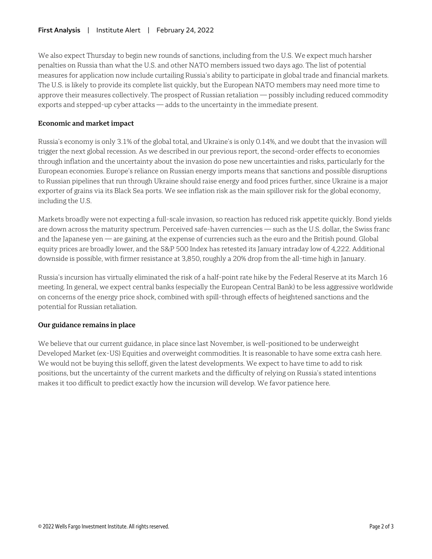#### **First Analysis** | Institute Alert | February 24, 2022

We also expect Thursday to begin new rounds of sanctions, including from the U.S. We expect much harsher penalties on Russia than what the U.S. and other NATO members issued two days ago. The list of potential measures for application now include curtailing Russia's ability to participate in global trade and financial markets. The U.S. is likely to provide its complete list quickly, but the European NATO members may need more time to approve their measures collectively. The prospect of Russian retaliation — possibly including reduced commodity exports and stepped-up cyber attacks — adds to the uncertainty in the immediate present.

#### **Economic and market impact**

Russia's economy is only 3.1% of the global total, and Ukraine's is only 0.14%, and we doubt that the invasion will trigger the next global recession. As we described in our previous report, the second-order effects to economies through inflation and the uncertainty about the invasion do pose new uncertainties and risks, particularly for the European economies. Europe's reliance on Russian energy imports means that sanctions and possible disruptions to Russian pipelines that run through Ukraine should raise energy and food prices further, since Ukraine is a major exporter of grains via its Black Sea ports. We see inflation risk as the main spillover risk for the global economy, including the U.S.

Markets broadly were not expecting a full-scale invasion, so reaction has reduced risk appetite quickly. Bond yields are down across the maturity spectrum. Perceived safe-haven currencies — such as the U.S. dollar, the Swiss franc and the Japanese yen — are gaining, at the expense of currencies such as the euro and the British pound. Global equity prices are broadly lower, and the S&P 500 Index has retested its January intraday low of 4,222. Additional downside is possible, with firmer resistance at 3,850, roughly a 20% drop from the all-time high in January.

Russia's incursion has virtually eliminated the risk of a half-point rate hike by the Federal Reserve at its March 16 meeting. In general, we expect central banks (especially the European Central Bank) to be less aggressive worldwide on concerns of the energy price shock, combined with spill-through effects of heightened sanctions and the potential for Russian retaliation.

### **Our guidance remains in place**

We believe that our current guidance, in place since last November, is well-positioned to be underweight Developed Market (ex-US) Equities and overweight commodities. It is reasonable to have some extra cash here. We would not be buying this selloff, given the latest developments. We expect to have time to add to risk positions, but the uncertainty of the current markets and the difficulty of relying on Russia's stated intentions makes it too difficult to predict exactly how the incursion will develop. We favor patience here.